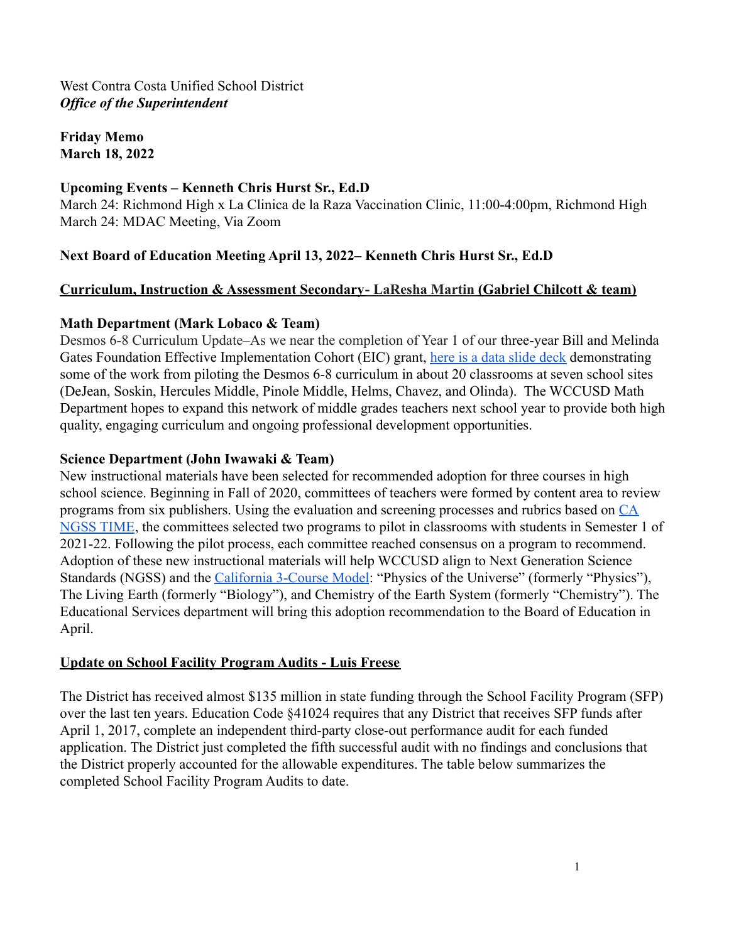**Friday Memo March 18, 2022**

### **Upcoming Events – Kenneth Chris Hurst Sr., Ed.D**

March 24: Richmond High x La Clinica de la Raza Vaccination Clinic, 11:00-4:00pm, Richmond High March 24: MDAC Meeting, Via Zoom

# **Next Board of Education Meeting April 13, 2022– Kenneth Chris Hurst Sr., Ed.D**

#### **Curriculum, Instruction & Assessment Secondary- LaResha Martin (Gabriel Chilcott & team)**

#### **Math Department (Mark Lobaco & Team)**

Desmos 6-8 Curriculum Update–As we near the completion of Year 1 of our three-year Bill and Melinda Gates Foundation Effective Implementation Cohort (EIC) grant, [here is a data slide deck](https://drive.google.com/file/d/1nWWIgRGIB8apkVE4GloEyPhYp-8VocQS/view?usp=sharing) demonstrating some of the work from piloting the Desmos 6-8 curriculum in about 20 classrooms at seven school sites (DeJean, Soskin, Hercules Middle, Pinole Middle, Helms, Chavez, and Olinda). The WCCUSD Math Department hopes to expand this network of middle grades teachers next school year to provide both high quality, engaging curriculum and ongoing professional development opportunities.

### **Science Department (John Iwawaki & Team)**

New instructional materials have been selected for recommended adoption for three courses in high school science. Beginning in Fall of 2020, committees of teachers were formed by content area to review programs from six publishers. Using the evaluation and screening processes and rubrics based on [CA](https://drive.google.com/file/d/1Jotr5g4GY7uIssmgf-t4Hvd3HC6Kiv_o/view?usp=sharing) [NGSS TIME](https://drive.google.com/file/d/1Jotr5g4GY7uIssmgf-t4Hvd3HC6Kiv_o/view?usp=sharing), the committees selected two programs to pilot in classrooms with students in Semester 1 of 2021-22. Following the pilot process, each committee reached consensus on a program to recommend. Adoption of these new instructional materials will help WCCUSD align to Next Generation Science Standards (NGSS) and the *[California 3-Course Model](https://www.cde.ca.gov/ci/sc/cf/documents/scifwchapter7.pdf)*: "Physics of the Universe" (formerly "Physics"), The Living Earth (formerly "Biology"), and Chemistry of the Earth System (formerly "Chemistry"). The Educational Services department will bring this adoption recommendation to the Board of Education in April.

#### **Update on School Facility Program Audits - Luis Freese**

The District has received almost \$135 million in state funding through the School Facility Program (SFP) over the last ten years. Education Code §41024 requires that any District that receives SFP funds after April 1, 2017, complete an independent third-party close-out performance audit for each funded application. The District just completed the fifth successful audit with no findings and conclusions that the District properly accounted for the allowable expenditures. The table below summarizes the completed School Facility Program Audits to date.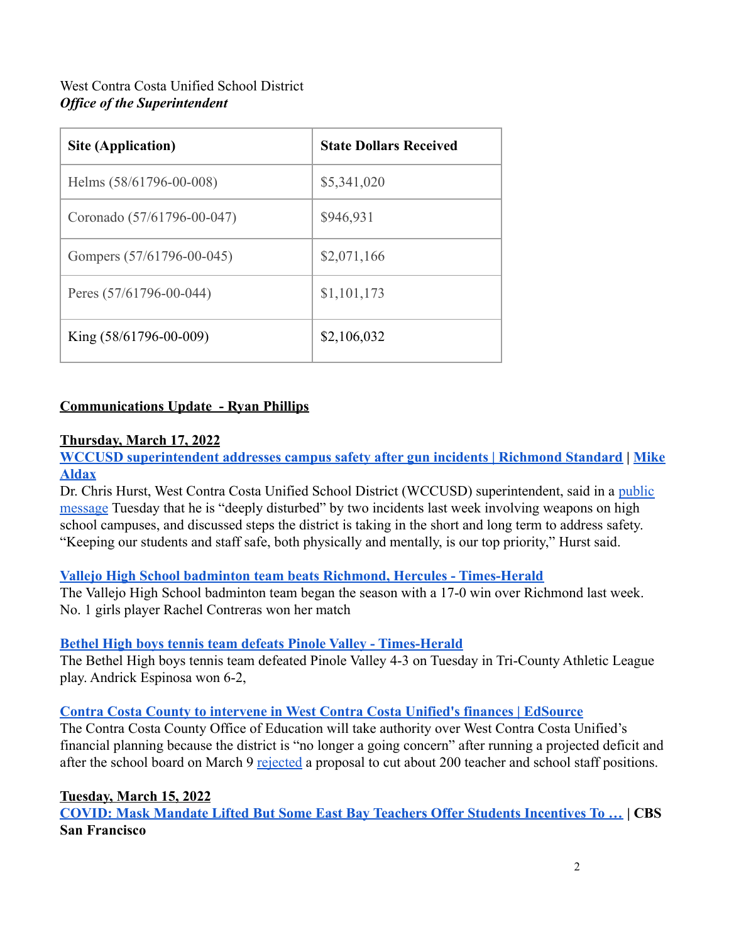| <b>Site (Application)</b>     | <b>State Dollars Received</b> |
|-------------------------------|-------------------------------|
| Helms (58/61796-00-008)       | \$5,341,020                   |
| Coronado (57/61796-00-047)    | \$946,931                     |
| Gompers (57/61796-00-045)     | \$2,071,166                   |
| Peres $(57/61796 - 00 - 044)$ | \$1,101,173                   |
| King $(58/61796 - 00 - 009)$  | \$2,106,032                   |

# **Communications Update - Ryan Phillips**

### **Thursday, March 17, 2022**

**[WCCUSD superintendent addresses campus safety after gun incidents | Richmond Standard](https://richmondstandard.com/richmond/2022/03/16/wccusd-superintendent-addresses-campus-safety-after-gun-incidents/) | [Mike](https://richmondstandard.com/author/richmon/) [Aldax](https://richmondstandard.com/author/richmon/)**

Dr. Chris Hurst, West Contra Costa Unified School District (WCCUSD) superintendent, said in a [public](https://mailchi.mp/wccusd.net/resend-in-person-update-change-mask-policy-2651532?e=c006dba435&fbclid=IwAR1Y74N3oBaQw9M815HN6VfxEVe6MrOO-8m5TLc_T6nEoDj4oNEELgCials) [message](https://mailchi.mp/wccusd.net/resend-in-person-update-change-mask-policy-2651532?e=c006dba435&fbclid=IwAR1Y74N3oBaQw9M815HN6VfxEVe6MrOO-8m5TLc_T6nEoDj4oNEELgCials) Tuesday that he is "deeply disturbed" by two incidents last week involving weapons on high school campuses, and discussed steps the district is taking in the short and long term to address safety. "Keeping our students and staff safe, both physically and mentally, is our top priority," Hurst said.

#### **[Vallejo High School badminton team beats Richmond, Hercules - Times-Herald](https://www.timesheraldonline.com/2022/03/17/vallejo-high-school-badminton-team-beats-richmond-hercules/)**

The Vallejo High School badminton team began the season with a 17-0 win over Richmond last week. No. 1 girls player Rachel Contreras won her match

# **[Bethel High boys tennis team defeats Pinole Valley - Times-Herald](https://www.timesheraldonline.com/2022/03/16/bethel-high-boys-tennis-team-defeats-pinole-valley)**

The Bethel High boys tennis team defeated Pinole Valley 4-3 on Tuesday in Tri-County Athletic League play. Andrick Espinosa won 6-2,

#### **[Contra Costa County to intervene in West Contra Costa Unified's finances | EdSource](https://edsource.org/updates/contra-costa-county-to-intervene-in-west-contra-costa-unifieds-finances)**

The Contra Costa County Office of Education will take authority over West Contra Costa Unified's financial planning because the district is "no longer a going concern" after running a projected deficit and after the school board on March 9 [rejected](https://edsource.org/updates/west-contra-costa-unified-school-board-rejects-proposals-for-potential-teacher-staff-layoffs) a proposal to cut about 200 teacher and school staff positions.

#### **Tuesday, March 15, 2022**

**[COVID: Mask Mandate Lifted But Some East Bay Teachers Offer Students Incentives To …](https://sanfrancisco.cbslocal.com/2022/03/15/covid-mask-mandate-lifted-but-some-east-bay-teachers-offer-students-incentives-to-keep-the-on/) | CBS San Francisco**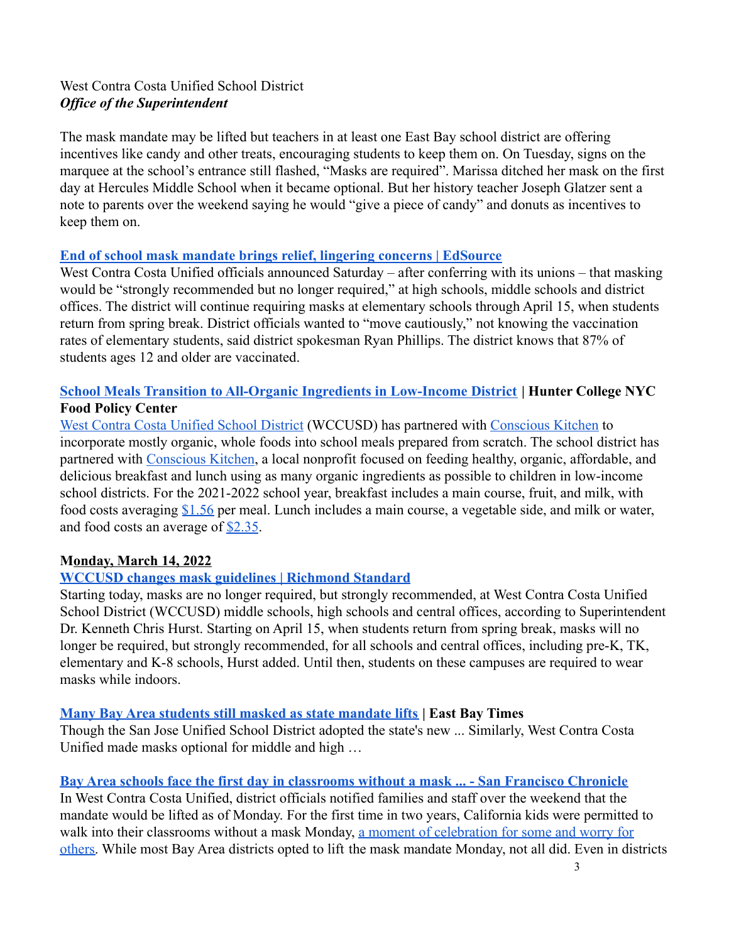The mask mandate may be lifted but teachers in at least one East Bay school district are offering incentives like candy and other treats, encouraging students to keep them on. On Tuesday, signs on the marquee at the school's entrance still flashed, "Masks are required". Marissa ditched her mask on the first day at Hercules Middle School when it became optional. But her history teacher Joseph Glatzer sent a note to parents over the weekend saying he would "give a piece of candy" and donuts as incentives to keep them on.

#### **[End of school mask mandate brings relief, lingering concerns | EdSource](https://edsource.org/2022/end-of-school-mask-mandate-brings-relief-lingering-concerns/668768)**

West Contra Costa Unified officials announced Saturday – after conferring with its unions – that masking would be "strongly recommended but no longer required," at high schools, middle schools and district offices. The district will continue requiring masks at elementary schools through April 15, when students return from spring break. District officials wanted to "move cautiously," not knowing the vaccination rates of elementary students, said district spokesman Ryan Phillips. The district knows that 87% of students ages 12 and older are vaccinated.

# **[School Meals Transition to All-Organic Ingredients in Low-Income District](https://www.nycfoodpolicy.org/food-policy-snapshot-wccusd-organic-school-meals/) | Hunter College NYC Food Policy Center**

[West Contra Costa Unified School District](https://www.wccusd.net/) (WCCUSD) has partnered with [Conscious Kitchen](https://www.consciouskitchen.org/west-contra-costa-unified-school-district/) to incorporate mostly organic, whole foods into school meals prepared from scratch. The school district has partnered with [Conscious Kitchen](https://www.consciouskitchen.org/), a local nonprofit focused on feeding healthy, organic, affordable, and delicious breakfast and lunch using as many organic ingredients as possible to children in low-income school districts. For the 2021-2022 school year, breakfast includes a main course, fruit, and milk, with food costs averaging [\\$1.56](https://www.consciouskitchen.org/west-contra-costa-unified-school-district/) per meal. Lunch includes a main course, a vegetable side, and milk or water, and food costs an average of [\\$2.35](https://www.consciouskitchen.org/west-contra-costa-unified-school-district/).

# **Monday, March 14, 2022**

# **[WCCUSD changes mask guidelines | Richmond Standard](https://richmondstandard.com/community/education/2022/03/14/wccusd-changes-mask-guidelines/)**

Starting today, masks are no longer required, but strongly recommended, at West Contra Costa Unified School District (WCCUSD) middle schools, high schools and central offices, according to Superintendent Dr. Kenneth Chris Hurst. Starting on April 15, when students return from spring break, masks will no longer be required, but strongly recommended, for all schools and central offices, including pre-K, TK, elementary and K-8 schools, Hurst added. Until then, students on these campuses are required to wear masks while indoors.

# **[Many Bay Area students still masked as state mandate lifts](https://www.eastbaytimes.com/2022/03/14/many-bay-area-students-still-masked-as-state-mandate-lifts/) | East Bay Times**

Though the San Jose Unified School District adopted the state's new ... Similarly, West Contra Costa Unified made masks optional for middle and high …

# **[Bay Area schools face the first day in classrooms without a mask ... - San Francisco Chronicle](https://www.sfchronicle.com/bayarea/article/Bay-Area-schools-face-the-first-day-in-classrooms-17001296.php)**

In West Contra Costa Unified, district officials notified families and staff over the weekend that the mandate would be lifted as of Monday. For the first time in two years, California kids were permitted to walk into their classrooms without a mask Monday, [a moment of celebration for some and worry for](https://www.sfchronicle.com/bayarea/article/Now-or-who-knows-when-Parents-and-experts-debate-16823827.php) [others.](https://www.sfchronicle.com/bayarea/article/Now-or-who-knows-when-Parents-and-experts-debate-16823827.php) While most Bay Area districts opted to lift the mask mandate Monday, not all did. Even in districts